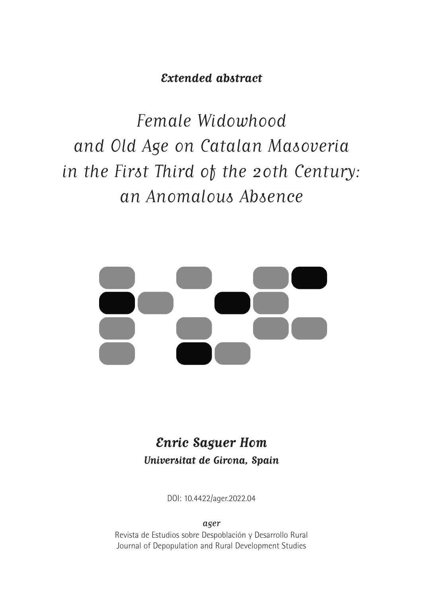**Extended abstract**

Female Widowhood and Old Age on Catalan Masoveria in the First Third of the 20th Century: an Anomalous Absence



# **Enric Saguer Hom Universitat de Girona, Spain**

DOI: 10.4422/ager.2022.04

ager

Revista de Estudios sobre Despoblación y Desarrollo Rural Journal of Depopulation and Rural Development Studies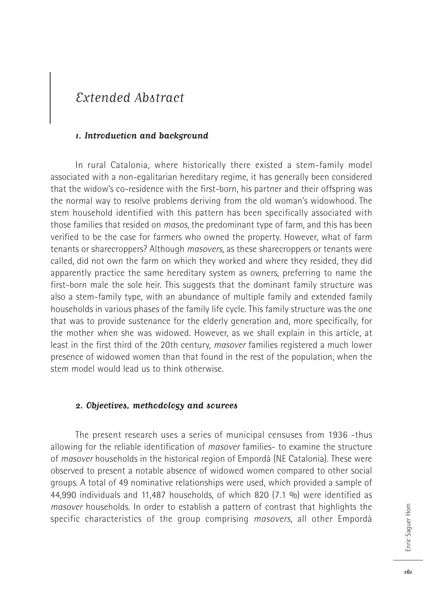## Extended Abstract

## **1. Introduction and background**

In rural Catalonia, where historically there existed a stem-family model associated with a non-egalitarian hereditary regime, it has generally been considered that the widow's co-residence with the first-born, his partner and their offspring was the normal way to resolve problems deriving from the old woman's widowhood. The stem household identified with this pattern has been specifically associated with those families that resided on *masos*, the predominant type of farm, and this has been verified to be the case for farmers who owned the property. However, what of farm tenants or sharecroppers? Although *masovers*, as these sharecroppers or tenants were called, did not own the farm on which they worked and where they resided, they did apparently practice the same hereditary system as owners, preferring to name the first-born male the sole heir. This suggests that the dominant family structure was also a stem-family type, with an abundance of multiple family and extended family households in various phases of the family life cycle. This family structure was the one that was to provide sustenance for the elderly generation and, more specifically, for the mother when she was widowed. However, as we shall explain in this article, at least in the first third of the 20th century, *masover* families registered a much lower presence of widowed women than that found in the rest of the population, when the stem model would lead us to think otherwise.

## **2. Objectives, methodology and sources**

The present research uses a series of municipal censuses from 1936 -thus allowing for the reliable identification of *masover* families- to examine the structure of *masover* households in the historical region of Empordà (NE Catalonia). These were observed to present a notable absence of widowed women compared to other social groups. A total of 49 nominative relationships were used, which provided a sample of 44,990 individuals and 11,487 households, of which 820 (7.1 %) were identified as *masover* households. In order to establish a pattern of contrast that highlights the specific characteristics of the group comprising *masovers*, all other Empordà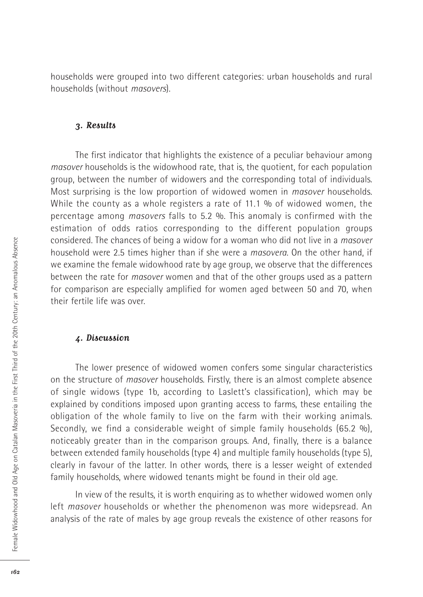households were grouped into two different categories: urban households and rural households (without *masovers*).

### **3. Results**

The first indicator that highlights the existence of a peculiar behaviour among *masover* households is the widowhood rate, that is, the quotient, for each population group, between the number of widowers and the corresponding total of individuals. Most surprising is the low proportion of widowed women in *masover* households. While the county as a whole registers a rate of 11.1 % of widowed women, the percentage among *masovers* falls to 5.2 %. This anomaly is confirmed with the estimation of odds ratios corresponding to the different population groups considered. The chances of being a widow for a woman who did not live in a *masover* household were 2.5 times higher than if she were a *masovera*. On the other hand, if we examine the female widowhood rate by age group, we observe that the differences between the rate for *masover* women and that of the other groups used as a pattern for comparison are especially amplified for women aged between 50 and 70, when their fertile life was over.

## **4. Discussion**

The lower presence of widowed women confers some singular characteristics on the structure of *masover* households. Firstly, there is an almost complete absence of single widows (type 1b, according to Laslett's classification), which may be explained by conditions imposed upon granting access to farms, these entailing the obligation of the whole family to live on the farm with their working animals. Secondly, we find a considerable weight of simple family households (65.2 %), noticeably greater than in the comparison groups. And, finally, there is a balance between extended family households (type 4) and multiple family households (type 5), clearly in favour of the latter. In other words, there is a lesser weight of extended family households, where widowed tenants might be found in their old age.

In view of the results, it is worth enquiring as to whether widowed women only left *masover* households or whether the phenomenon was more widepsread. An analysis of the rate of males by age group reveals the existence of other reasons for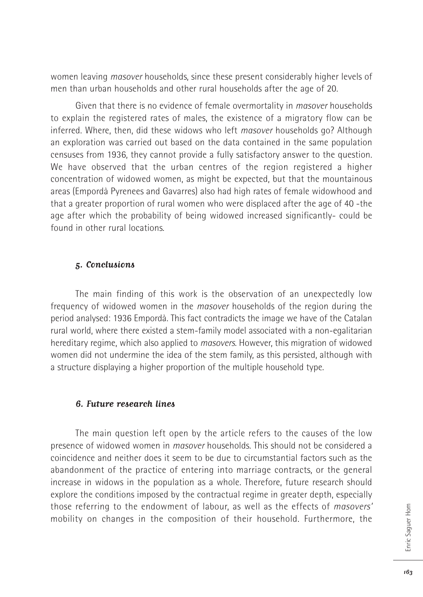women leaving *masover* households, since these present considerably higher levels of men than urban households and other rural households after the age of 20.

Given that there is no evidence of female overmortality in *masover* households to explain the registered rates of males, the existence of a migratory flow can be inferred. Where, then, did these widows who left *masover* households go? Although an exploration was carried out based on the data contained in the same population censuses from 1936, they cannot provide a fully satisfactory answer to the question. We have observed that the urban centres of the region registered a higher concentration of widowed women, as might be expected, but that the mountainous areas (Empordà Pyrenees and Gavarres) also had high rates of female widowhood and that a greater proportion of rural women who were displaced after the age of 40 -the age after which the probability of being widowed increased significantly- could be found in other rural locations.

## **5. Conclusions**

The main finding of this work is the observation of an unexpectedly low frequency of widowed women in the *masover* households of the region during the period analysed: 1936 Empordà. This fact contradicts the image we have of the Catalan rural world, where there existed a stem-family model associated with a non-egalitarian hereditary regime, which also applied to *masovers*. However, this migration of widowed women did not undermine the idea of the stem family, as this persisted, although with a structure displaying a higher proportion of the multiple household type.

## **6. Future research lines**

The main question left open by the article refers to the causes of the low presence of widowed women in *masover* households. This should not be considered a coincidence and neither does it seem to be due to circumstantial factors such as the abandonment of the practice of entering into marriage contracts, or the general increase in widows in the population as a whole. Therefore, future research should explore the conditions imposed by the contractual regime in greater depth, especially those referring to the endowment of labour, as well as the effects of *masovers'* mobility on changes in the composition of their household. Furthermore, the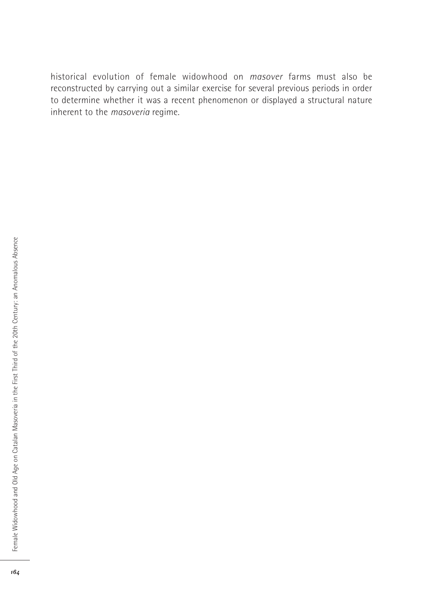historical evolution of female widowhood on *masover* farms must also be reconstructed by carrying out a similar exercise for several previous periods in order to determine whether it was a recent phenomenon or displayed a structural nature inherent to the *masoveria* regime.